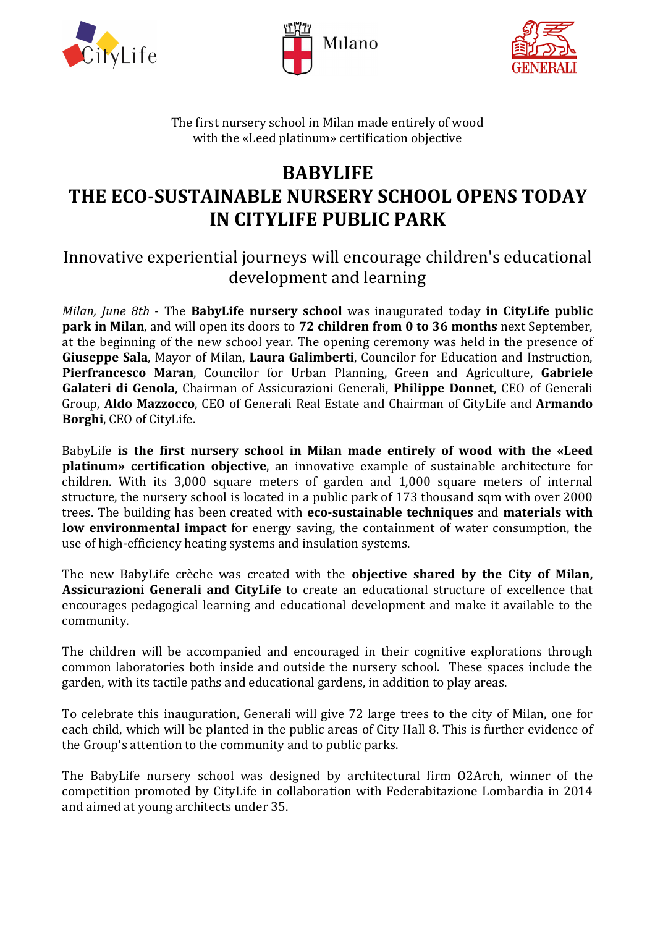





The first nursery school in Milan made entirely of wood with the «Leed platinum» certification objective

## **BABYLIFE THE ECO-SUSTAINABLE NURSERY SCHOOL OPENS TODAY IN CITYLIFE PUBLIC PARK**

## Innovative experiential journeys will encourage children's educational development and learning

*Milan, June 8th* - The **BabyLife nursery school** was inaugurated today **in CityLife public park in Milan**, and will open its doors to **72 children from 0 to 36 months** next September, at the beginning of the new school year. The opening ceremony was held in the presence of **Giuseppe Sala**, Mayor of Milan, **Laura Galimberti**, Councilor for Education and Instruction, **Pierfrancesco Maran**, Councilor for Urban Planning, Green and Agriculture, **Gabriele Galateri di Genola**, Chairman of Assicurazioni Generali, **Philippe Donnet**, CEO of Generali Group, **Aldo Mazzocco**, CEO of Generali Real Estate and Chairman of CityLife and **Armando Borghi**, CEO of CityLife.

BabyLife **is the first nursery school in Milan made entirely of wood with the «Leed platinum» certification objective**, an innovative example of sustainable architecture for children. With its 3,000 square meters of garden and 1,000 square meters of internal structure, the nursery school is located in a public park of 173 thousand sqm with over 2000 trees. The building has been created with **eco-sustainable techniques** and **materials with low environmental impact** for energy saving, the containment of water consumption, the use of high-efficiency heating systems and insulation systems.

The new BabyLife crèche was created with the **objective shared by the City of Milan, Assicurazioni Generali and CityLife** to create an educational structure of excellence that encourages pedagogical learning and educational development and make it available to the community.

The children will be accompanied and encouraged in their cognitive explorations through common laboratories both inside and outside the nursery school. These spaces include the garden, with its tactile paths and educational gardens, in addition to play areas.

To celebrate this inauguration, Generali will give 72 large trees to the city of Milan, one for each child, which will be planted in the public areas of City Hall 8. This is further evidence of the Group's attention to the community and to public parks.

The BabyLife nursery school was designed by architectural firm O2Arch, winner of the competition promoted by CityLife in collaboration with Federabitazione Lombardia in 2014 and aimed at young architects under 35.